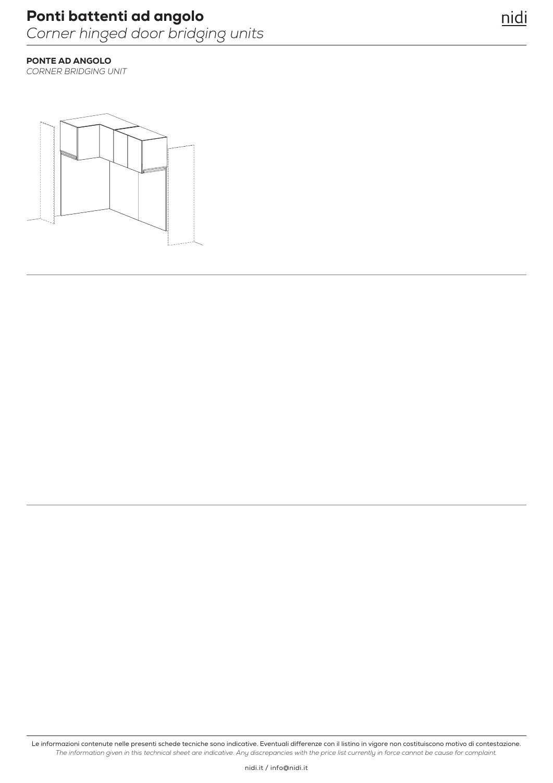### PONTE AD ANGOLO

*CORNER BRIDGING UNIT*

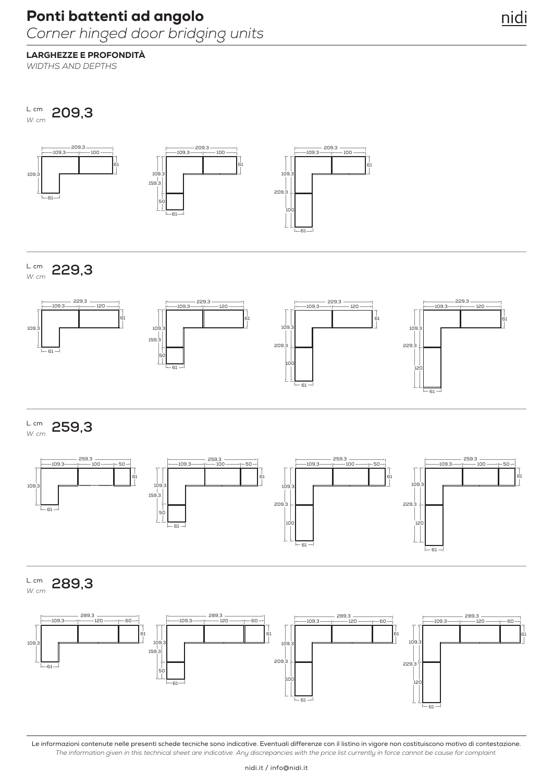## LARGHEZZE E PROFONDITÀ

*WIDTHS AND DEPTHS*

**209,3** L. cm *W. cm*



**229,3** L. cm *W. cm*



**259,3** L. cm *W. cm*



**289,3** L. cm *W. cm*

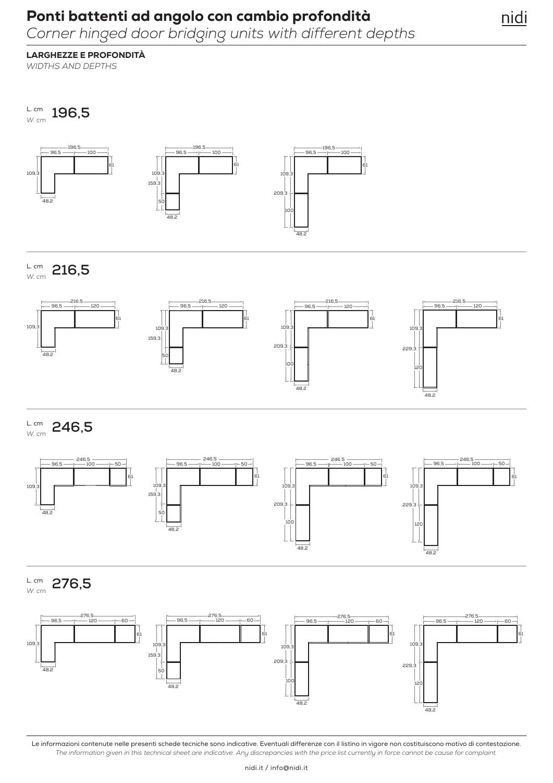## Ponti battenti ad angolo con cambio profondità

*Corner hinged door bridging units with different depths*

nidi

## LARGHEZZE E PROFONDITÀ

*WIDTHS AND DEPTHS*

**196,5** L. cm *W. cm*



**216,5** L. cm *W. cm*



**246,5** L. cm *W. cm*



**276,5** L. cm *W. cm*